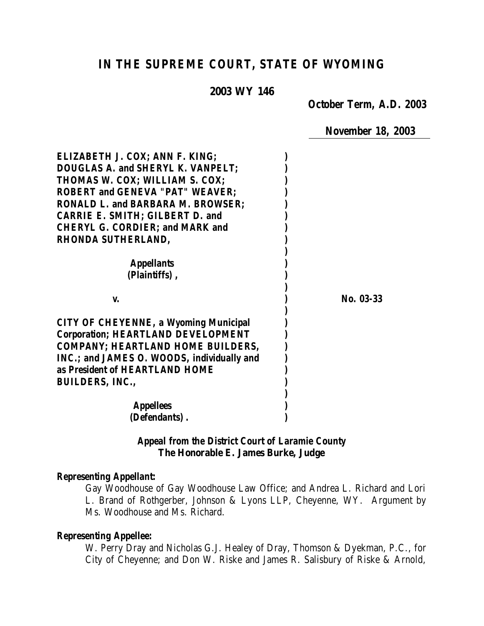# *IN THE SUPREME COURT, STATE OF WYOMING*

#### **2003 WY 146**

*October Term, A.D. 2003*

*November 18, 2003*

| ELIZABETH J. COX; ANN F. KING;               |           |
|----------------------------------------------|-----------|
| <b>DOUGLAS A. and SHERYL K. VANPELT:</b>     |           |
| THOMAS W. COX; WILLIAM S. COX;               |           |
| <b>ROBERT and GENEVA "PAT" WEAVER:</b>       |           |
| <b>RONALD L. and BARBARA M. BROWSER:</b>     |           |
| <b>CARRIE E. SMITH; GILBERT D. and</b>       |           |
| <b>CHERYL G. CORDIER; and MARK and</b>       |           |
| <b>RHONDA SUTHERLAND,</b>                    |           |
|                                              |           |
| <i><b>Appellants</b></i>                     |           |
| (Plaintiffs),                                |           |
|                                              |           |
| V.                                           | No. 03-33 |
|                                              |           |
| <b>CITY OF CHEYENNE, a Wyoming Municipal</b> |           |
| <b>Corporation; HEARTLAND DEVELOPMENT</b>    |           |
| <b>COMPANY: HEARTLAND HOME BUILDERS,</b>     |           |
| INC.; and JAMES O. WOODS, individually and   |           |
| as President of HEARTLAND HOME               |           |
| <b>BUILDERS, INC.,</b>                       |           |
|                                              |           |
| <b>Appellees</b>                             |           |
| (Defendants).                                |           |

### *Appeal from the District Court of Laramie County* **The Honorable E. James Burke, Judge**

#### *Representing Appellant:*

Gay Woodhouse of Gay Woodhouse Law Office; and Andrea L. Richard and Lori L. Brand of Rothgerber, Johnson & Lyons LLP, Cheyenne, WY. Argument by Ms. Woodhouse and Ms. Richard.

#### *Representing Appellee:*

W. Perry Dray and Nicholas G.J. Healey of Dray, Thomson & Dyekman, P.C., for City of Cheyenne; and Don W. Riske and James R. Salisbury of Riske & Arnold,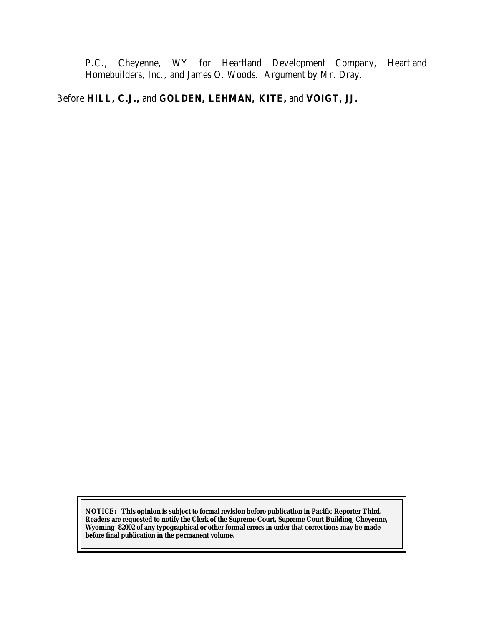P.C., Cheyenne, WY for Heartland Development Company, Heartland Homebuilders, Inc., and James O. Woods. Argument by Mr. Dray.

## Before **HILL, C.J.,** and **GOLDEN, LEHMAN, KITE,** and **VOIGT, JJ.**

**NOTICE:** *This opinion is subject to formal revision before publication in Pacific Reporter Third. Readers are requested to notify the Clerk of the Supreme Court, Supreme Court Building, Cheyenne, Wyoming 82002 of any typographical or other formal errors in order that corrections may be made before final publication in the permanent volume.*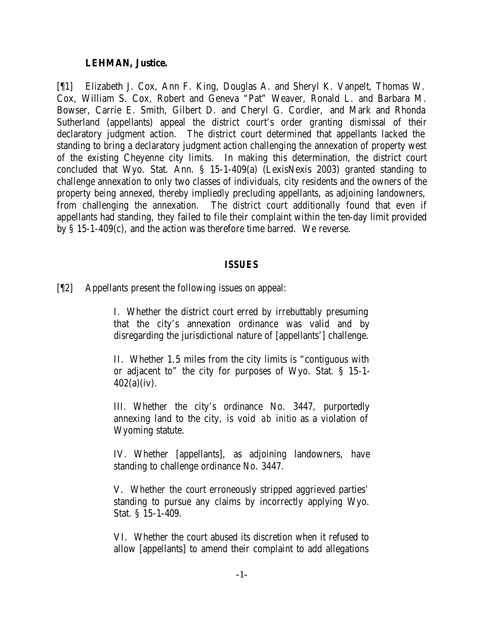#### **LEHMAN, Justice.**

[¶1] Elizabeth J. Cox, Ann F. King, Douglas A. and Sheryl K. Vanpelt, Thomas W. Cox, William S. Cox, Robert and Geneva "Pat" Weaver, Ronald L. and Barbara M. Bowser, Carrie E. Smith, Gilbert D. and Cheryl G. Cordier, and Mark and Rhonda Sutherland (appellants) appeal the district court's order granting dismissal of their declaratory judgment action. The district court determined that appellants lacked the standing to bring a declaratory judgment action challenging the annexation of property west of the existing Cheyenne city limits. In making this determination, the district court concluded that Wyo. Stat. Ann. § 15-1-409(a) (LexisNexis 2003) granted standing to challenge annexation to only two classes of individuals, city residents and the owners of the property being annexed, thereby impliedly precluding appellants, as adjoining landowners, from challenging the annexation. The district court additionally found that even if appellants had standing, they failed to file their complaint within the ten-day limit provided by § 15-1-409(c), and the action was therefore time barred. We reverse.

### *ISSUES*

[¶2] Appellants present the following issues on appeal:

I. Whether the district court erred by irrebuttably presuming that the city's annexation ordinance was valid and by disregarding the jurisdictional nature of [appellants'] challenge.

II. Whether 1.5 miles from the city limits is "contiguous with or adjacent to" the city for purposes of Wyo. Stat. § 15-1- 402(a)(iv).

III. Whether the city's ordinance No. 3447, purportedly annexing land to the city, is void *ab initio* as a violation of Wyoming statute.

IV. Whether [appellants], as adjoining landowners, have standing to challenge ordinance No. 3447.

V. Whether the court erroneously stripped aggrieved parties' standing to pursue any claims by incorrectly applying Wyo. Stat. § 15-1-409.

VI. Whether the court abused its discretion when it refused to allow [appellants] to amend their complaint to add allegations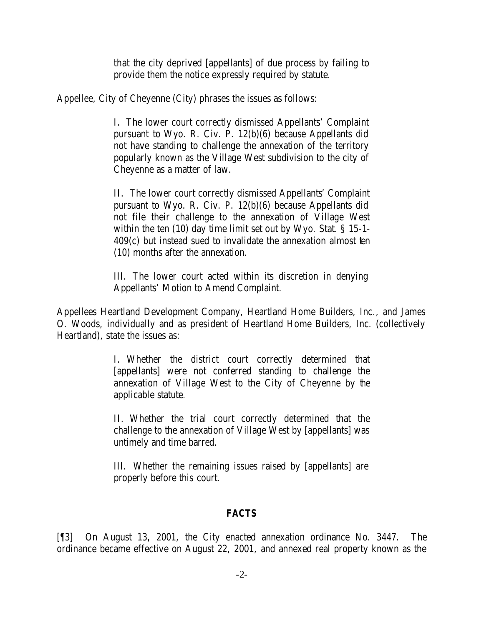that the city deprived [appellants] of due process by failing to provide them the notice expressly required by statute.

Appellee, City of Cheyenne (City) phrases the issues as follows:

I. The lower court correctly dismissed Appellants' Complaint pursuant to Wyo. R. Civ. P. 12(b)(6) because Appellants did not have standing to challenge the annexation of the territory popularly known as the Village West subdivision to the city of Cheyenne as a matter of law.

II. The lower court correctly dismissed Appellants' Complaint pursuant to Wyo. R. Civ. P. 12(b)(6) because Appellants did not file their challenge to the annexation of Village West within the ten (10) day time limit set out by Wyo. Stat. § 15-1- 409(c) but instead sued to invalidate the annexation almost ten (10) months after the annexation.

III. The lower court acted within its discretion in denying Appellants' Motion to Amend Complaint.

Appellees Heartland Development Company, Heartland Home Builders, Inc., and James O. Woods, individually and as president of Heartland Home Builders, Inc. (collectively Heartland), state the issues as:

> I. Whether the district court correctly determined that [appellants] were not conferred standing to challenge the annexation of Village West to the City of Cheyenne by the applicable statute.

> II. Whether the trial court correctly determined that the challenge to the annexation of Village West by [appellants] was untimely and time barred.

> III. Whether the remaining issues raised by [appellants] are properly before this court.

### *FACTS*

[¶3] On August 13, 2001, the City enacted annexation ordinance No. 3447. The ordinance became effective on August 22, 2001, and annexed real property known as the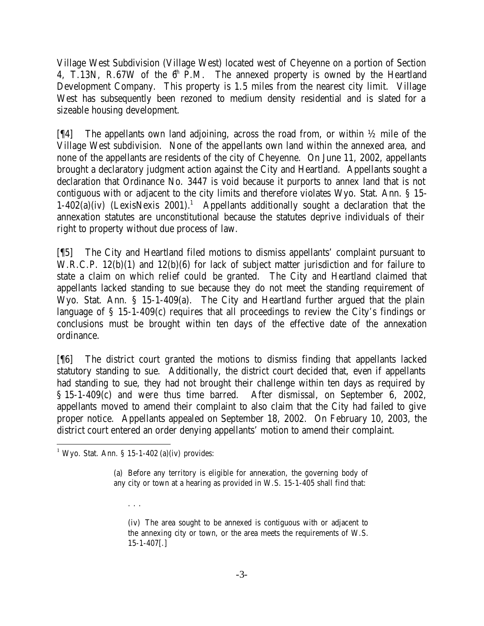Village West Subdivision (Village West) located west of Cheyenne on a portion of Section 4, T.13N, R.67W of the  $6<sup>th</sup>$  P.M. The annexed property is owned by the Heartland Development Company. This property is 1.5 miles from the nearest city limit. Village West has subsequently been rezoned to medium density residential and is slated for a sizeable housing development.

[ $[$ [4] The appellants own land adjoining, across the road from, or within  $\frac{1}{2}$  mile of the Village West subdivision. None of the appellants own land within the annexed area, and none of the appellants are residents of the city of Cheyenne. On June 11, 2002, appellants brought a declaratory judgment action against the City and Heartland. Appellants sought a declaration that Ordinance No. 3447 is void because it purports to annex land that is not contiguous with or adjacent to the city limits and therefore violates Wyo. Stat. Ann. § 15-  $1-402(a)(iv)$  (LexisNexis 2001).<sup>1</sup> Appellants additionally sought a declaration that the annexation statutes are unconstitutional because the statutes deprive individuals of their right to property without due process of law.

[¶5] The City and Heartland filed motions to dismiss appellants' complaint pursuant to W.R.C.P. 12(b)(1) and 12(b)(6) for lack of subject matter jurisdiction and for failure to state a claim on which relief could be granted. The City and Heartland claimed that appellants lacked standing to sue because they do not meet the standing requirement of Wyo. Stat. Ann. § 15-1-409(a). The City and Heartland further argued that the plain language of § 15-1-409(c) requires that all proceedings to review the City's findings or conclusions must be brought within ten days of the effective date of the annexation ordinance.

[¶6] The district court granted the motions to dismiss finding that appellants lacked statutory standing to sue. Additionally, the district court decided that, even if appellants had standing to sue, they had not brought their challenge within ten days as required by § 15-1-409(c) and were thus time barred. After dismissal, on September 6, 2002, appellants moved to amend their complaint to also claim that the City had failed to give proper notice. Appellants appealed on September 18, 2002. On February 10, 2003, the district court entered an order denying appellants' motion to amend their complaint.

. . .

(iv) The area sought to be annexed is contiguous with or adjacent to the annexing city or town, or the area meets the requirements of W.S. 15-1-407[.]

l <sup>1</sup> Wyo. Stat. Ann. § 15-1-402 (a)(iv) provides:

<sup>(</sup>a) Before any territory is eligible for annexation, the governing body of any city or town at a hearing as provided in W.S. 15-1-405 shall find that: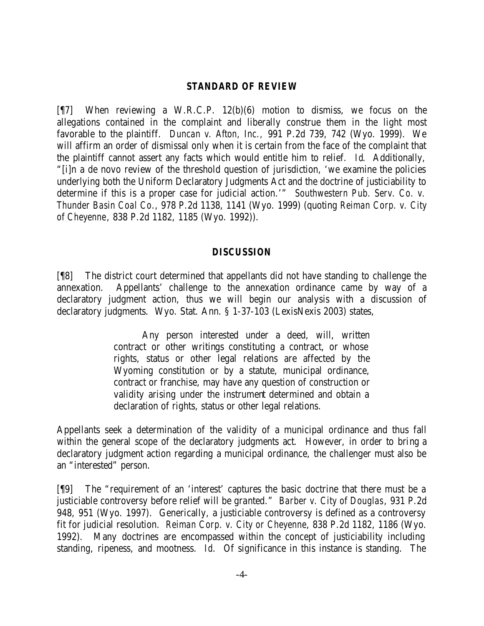#### *STANDARD OF REVIEW*

[¶7] When reviewing a W.R.C.P. 12(b)(6) motion to dismiss, we focus on the allegations contained in the complaint and liberally construe them in the light most favorable to the plaintiff. *Duncan v. Afton, Inc.,* 991 P.2d 739, 742 (Wyo. 1999). We will affirm an order of dismissal only when it is certain from the face of the complaint that the plaintiff cannot assert any facts which would entitle him to relief. *Id*. Additionally, "[i]n a de novo review of the threshold question of jurisdiction, 'we examine the policies underlying both the Uniform Declaratory Judgments Act and the doctrine of justiciability to determine if this is a proper case for judicial action.'" *Southwestern Pub. Serv. Co. v. Thunder Basin Coal Co*., 978 P.2d 1138, 1141 (Wyo. 1999) (quoting *Reiman Corp. v. City of Cheyenne*, 838 P.2d 1182, 1185 (Wyo. 1992)).

#### *DISCUSSION*

[¶8] The district court determined that appellants did not have standing to challenge the annexation. Appellants' challenge to the annexation ordinance came by way of a declaratory judgment action, thus we will begin our analysis with a discussion of declaratory judgments. Wyo. Stat. Ann. § 1-37-103 (LexisNexis 2003) states,

> Any person interested under a deed, will, written contract or other writings constituting a contract, or whose rights, status or other legal relations are affected by the Wyoming constitution or by a statute, municipal ordinance, contract or franchise, may have any question of construction or validity arising under the instrument determined and obtain a declaration of rights, status or other legal relations.

Appellants seek a determination of the validity of a municipal ordinance and thus fall within the general scope of the declaratory judgments act. However, in order to bring a declaratory judgment action regarding a municipal ordinance, the challenger must also be an "interested" person.

[¶9] The "requirement of an 'interest' captures the basic doctrine that there must be a justiciable controversy before relief will be granted." *Barber v. City of Douglas*, 931 P.2d 948, 951 (Wyo. 1997). Generically, a justiciable controversy is defined as a controversy fit for judicial resolution. *Reiman Corp. v. City or Cheyenne*, 838 P.2d 1182, 1186 (Wyo. 1992). Many doctrines are encompassed within the concept of justiciability including standing, ripeness, and mootness. *Id*. Of significance in this instance is standing. The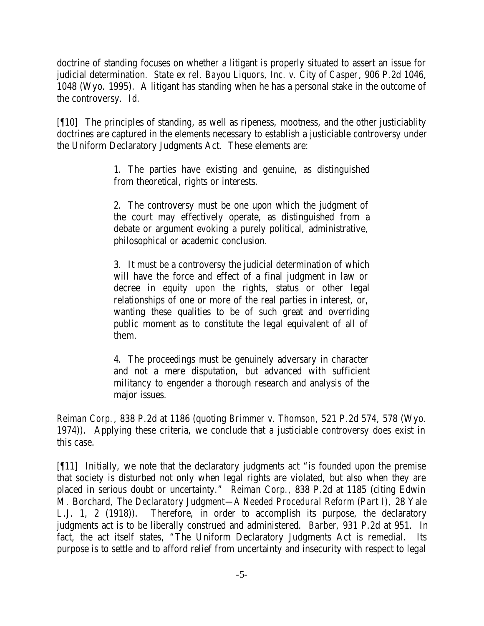doctrine of standing focuses on whether a litigant is properly situated to assert an issue for judicial determination. *State ex rel. Bayou Liquors, Inc. v. City of Casper*, 906 P.2d 1046, 1048 (Wyo. 1995). A litigant has standing when he has a personal stake in the outcome of the controversy. *Id*.

[¶10] The principles of standing, as well as ripeness, mootness, and the other justiciablity doctrines are captured in the elements necessary to establish a justiciable controversy under the Uniform Declaratory Judgments Act. These elements are:

> 1. The parties have existing and genuine, as distinguished from theoretical, rights or interests.

> 2. The controversy must be one upon which the judgment of the court may effectively operate, as distinguished from a debate or argument evoking a purely political, administrative, philosophical or academic conclusion.

> 3. It must be a controversy the judicial determination of which will have the force and effect of a final judgment in law or decree in equity upon the rights, status or other legal relationships of one or more of the real parties in interest, or, wanting these qualities to be of such great and overriding public moment as to constitute the legal equivalent of all of them.

> 4. The proceedings must be genuinely adversary in character and not a mere disputation, but advanced with sufficient militancy to engender a thorough research and analysis of the major issues.

*Reiman Corp.*, 838 P.2d at 1186 (quoting *Brimmer v. Thomson*, 521 P.2d 574, 578 (Wyo. 1974)). Applying these criteria, we conclude that a justiciable controversy does exist in this case.

[¶11] Initially, we note that the declaratory judgments act "is founded upon the premise that society is disturbed not only when legal rights are violated, but also when they are placed in serious doubt or uncertainty." *Reiman Corp.*, 838 P.2d at 1185 (citing Edwin M. Borchard, *The Declaratory Judgment—A Needed Procedural Reform (Part I),* 28 Yale L.J. 1, 2 (1918)). Therefore, in order to accomplish its purpose, the declaratory judgments act is to be liberally construed and administered. *Barber*, 931 P.2d at 951. In fact, the act itself states, "The Uniform Declaratory Judgments Act is remedial. Its purpose is to settle and to afford relief from uncertainty and insecurity with respect to legal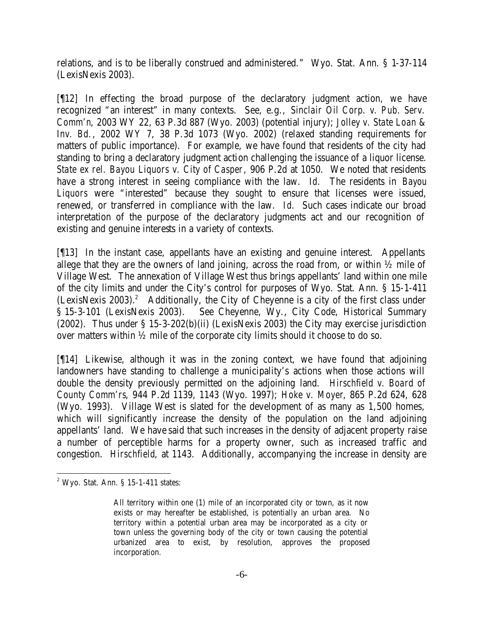relations, and is to be liberally construed and administered." Wyo. Stat. Ann. § 1-37-114 (LexisNexis 2003).

[¶12] In effecting the broad purpose of the declaratory judgment action, we have recognized "an interest" in many contexts. See, e.g., *Sinclair Oil Corp. v. Pub. Serv. Comm'n*, 2003 WY 22, 63 P.3d 887 (Wyo. 2003) (potential injury); *Jolley v. State Loan & Inv. Bd.*, 2002 WY 7, 38 P.3d 1073 (Wyo. 2002) (relaxed standing requirements for matters of public importance). For example, we have found that residents of the city had standing to bring a declaratory judgment action challenging the issuance of a liquor license. *State ex rel. Bayou Liquors v. City of Casper*, 906 P.2d at 1050. We noted that residents have a strong interest in seeing compliance with the law. *Id.* The residents in *Bayou*  Liquors were "interested" because they sought to ensure that licenses were issued, renewed, or transferred in compliance with the law. *Id*. Such cases indicate our broad interpretation of the purpose of the declaratory judgments act and our recognition of existing and genuine interests in a variety of contexts.

[¶13] In the instant case, appellants have an existing and genuine interest. Appellants allege that they are the owners of land joining, across the road from, or within  $\frac{1}{2}$  mile of Village West. The annexation of Village West thus brings appellants' land within one mile of the city limits and under the City's control for purposes of Wyo. Stat. Ann. § 15-1-411 (LexisNexis 2003).<sup>2</sup> Additionally, the City of Cheyenne is a city of the first class under § 15-3-101 (LexisNexis 2003). See Cheyenne, Wy., City Code, Historical Summary (2002). Thus under § 15-3-202(b)(ii) (LexisNexis 2003) the City may exercise jurisdiction over matters within ½ mile of the corporate city limits should it choose to do so.

[¶14] Likewise, although it was in the zoning context, we have found that adjoining landowners have standing to challenge a municipality's actions when those actions will double the density previously permitted on the adjoining land. *Hirschfield v. Board of County Comm'rs*, 944 P.2d 1139, 1143 (Wyo. 1997); *Hoke v. Moyer*, 865 P.2d 624, 628 (Wyo. 1993). Village West is slated for the development of as many as 1,500 homes, which will significantly increase the density of the population on the land adjoining appellants' land. We have said that such increases in the density of adjacent property raise a number of perceptible harms for a property owner, such as increased traffic and congestion. *Hirschfield*, at 1143. Additionally, accompanying the increase in density are

 $2$  Wyo. Stat. Ann. § 15-1-411 states:

All territory within one (1) mile of an incorporated city or town, as it now exists or may hereafter be established, is potentially an urban area. No territory within a potential urban area may be incorporated as a city or town unless the governing body of the city or town causing the potential urbanized area to exist, by resolution, approves the proposed incorporation.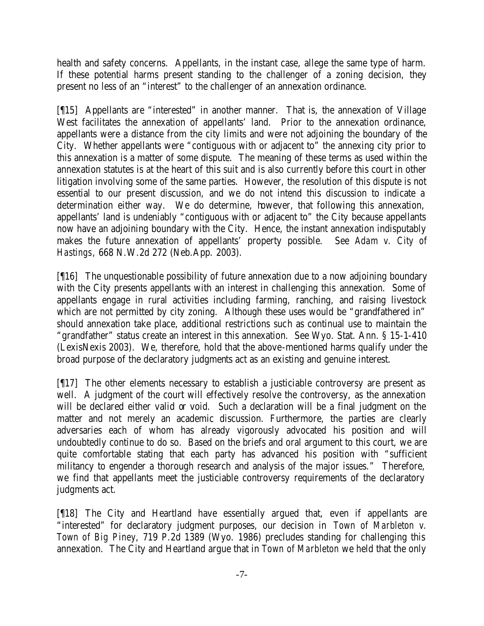health and safety concerns. Appellants, in the instant case, allege the same type of harm. If these potential harms present standing to the challenger of a zoning decision, they present no less of an "interest" to the challenger of an annexation ordinance.

[¶15] Appellants are "interested" in another manner. That is, the annexation of Village West facilitates the annexation of appellants' land. Prior to the annexation ordinance, appellants were a distance from the city limits and were not adjoining the boundary of the City. Whether appellants were "contiguous with or adjacent to" the annexing city prior to this annexation is a matter of some dispute. The meaning of these terms as used within the annexation statutes is at the heart of this suit and is also currently before this court in other litigation involving some of the same parties. However, the resolution of this dispute is not essential to our present discussion, and we do not intend this discussion to indicate a determination either way. We do determine, however, that following this annexation, appellants' land is undeniably "contiguous with or adjacent to" the City because appellants now have an adjoining boundary with the City. Hence, the instant annexation indisputably makes the future annexation of appellants' property possible. See *Adam v. City of Hastings*, 668 N.W.2d 272 (Neb.App. 2003).

[¶16] The unquestionable possibility of future annexation due to a now adjoining boundary with the City presents appellants with an interest in challenging this annexation. Some of appellants engage in rural activities including farming, ranching, and raising livestock which are not permitted by city zoning. Although these uses would be "grandfathered in" should annexation take place, additional restrictions such as continual use to maintain the "grandfather" status create an interest in this annexation. See Wyo. Stat. Ann. § 15-1-410 (LexisNexis 2003). We, therefore, hold that the above-mentioned harms qualify under the broad purpose of the declaratory judgments act as an existing and genuine interest.

[¶17] The other elements necessary to establish a justiciable controversy are present as well. A judgment of the court will effectively resolve the controversy, as the annexation will be declared either valid or void. Such a declaration will be a final judgment on the matter and not merely an academic discussion. Furthermore, the parties are clearly adversaries each of whom has already vigorously advocated his position and will undoubtedly continue to do so. Based on the briefs and oral argument to this court, we are quite comfortable stating that each party has advanced his position with "sufficient militancy to engender a thorough research and analysis of the major issues." Therefore, we find that appellants meet the justiciable controversy requirements of the declaratory judgments act.

[¶18] The City and Heartland have essentially argued that, even if appellants are "interested" for declaratory judgment purposes, our decision in *Town of Marbleton v. Town of Big Piney*, 719 P.2d 1389 (Wyo. 1986) precludes standing for challenging this annexation. The City and Heartland argue that in *Town of Marbleton* we held that the only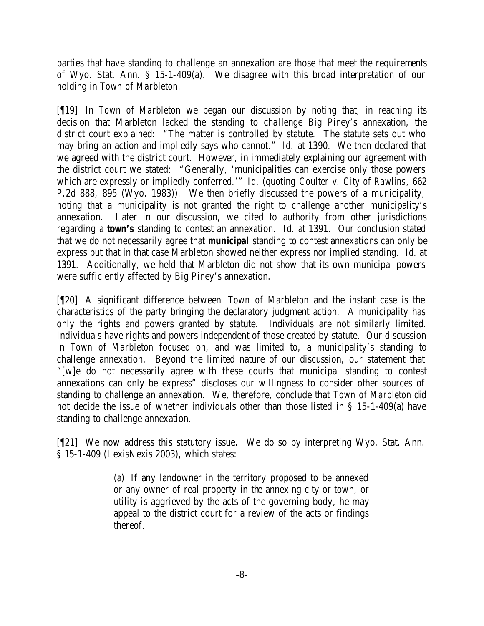parties that have standing to challenge an annexation are those that meet the requirements of Wyo. Stat. Ann. § 15-1-409(a). We disagree with this broad interpretation of our holding in *Town of Marbleton*.

[¶19] In *Town of Marbleton* we began our discussion by noting that, in reaching its decision that Marbleton lacked the standing to challenge Big Piney's annexation, the district court explained: "The matter is controlled by statute. The statute sets out who may bring an action and impliedly says who cannot." *Id.* at 1390. We then declared that we agreed with the district court. However, in immediately explaining our agreement with the district court we stated: "Generally, 'municipalities can exercise only those powers which are expressly or impliedly conferred.'" *Id*. (quoting *Coulter v. City of Rawlins*, 662 P.2d 888, 895 (Wyo. 1983)). We then briefly discussed the powers of a municipality, noting that a municipality is not granted the right to challenge another municipality's annexation. Later in our discussion, we cited to authority from other jurisdictions regarding a *town's* standing to contest an annexation. *Id*. at 1391. Our conclusion stated that we do not necessarily agree that *municipal* standing to contest annexations can only be express but that in that case Marbleton showed neither express nor implied standing. *Id*. at 1391. Additionally, we held that Marbleton did not show that its own municipal powers were sufficiently affected by Big Piney's annexation.

[¶20] A significant difference between *Town of Marbleton* and the instant case is the characteristics of the party bringing the declaratory judgment action. A municipality has only the rights and powers granted by statute. Individuals are not similarly limited. Individuals have rights and powers independent of those created by statute. Our discussion in *Town of Marbleton* focused on, and was limited to, a municipality's standing to challenge annexation. Beyond the limited nature of our discussion, our statement that "[w]e do not necessarily agree with these courts that municipal standing to contest annexations can only be express" discloses our willingness to consider other sources of standing to challenge an annexation. We, therefore, conclude that *Town of Marbleton* did not decide the issue of whether individuals other than those listed in § 15-1-409(a) have standing to challenge annexation.

[¶21] We now address this statutory issue. We do so by interpreting Wyo. Stat. Ann. § 15-1-409 (LexisNexis 2003), which states:

> (a) If any landowner in the territory proposed to be annexed or any owner of real property in the annexing city or town, or utility is aggrieved by the acts of the governing body, he may appeal to the district court for a review of the acts or findings thereof.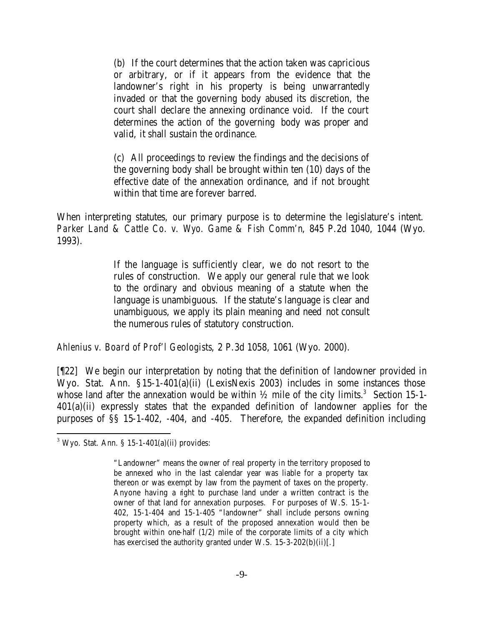(b) If the court determines that the action taken was capricious or arbitrary, or if it appears from the evidence that the landowner's right in his property is being unwarrantedly invaded or that the governing body abused its discretion, the court shall declare the annexing ordinance void. If the court determines the action of the governing body was proper and valid, it shall sustain the ordinance.

(c) All proceedings to review the findings and the decisions of the governing body shall be brought within ten (10) days of the effective date of the annexation ordinance, and if not brought within that time are forever barred.

When interpreting statutes, our primary purpose is to determine the legislature's intent. *Parker Land & Cattle Co. v. Wyo. Game & Fish Comm'n*, 845 P.2d 1040, 1044 (Wyo. 1993).

> If the language is sufficiently clear, we do not resort to the rules of construction. We apply our general rule that we look to the ordinary and obvious meaning of a statute when the language is unambiguous. If the statute's language is clear and unambiguous, we apply its plain meaning and need not consult the numerous rules of statutory construction.

*Ahlenius v. Board of Prof'l Geologists*, 2 P.3d 1058, 1061 (Wyo. 2000).

[¶22] We begin our interpretation by noting that the definition of landowner provided in Wyo. Stat. Ann. §15-1-401(a)(ii) (LexisNexis 2003) includes in some instances those whose land after the annexation would be within  $\frac{1}{2}$  mile of the city limits.<sup>3</sup> Section 15-1-401(a)(ii) expressly states that the expanded definition of landowner applies for the purposes of §§ 15-1-402, -404, and -405. Therefore, the expanded definition including

 $3$  Wyo. Stat. Ann. § 15-1-401(a)(ii) provides:

<sup>&</sup>quot;Landowner" means the owner of real property in the territory proposed to be annexed who in the last calendar year was liable for a property tax thereon or was exempt by law from the payment of taxes on the property. Anyone having a right to purchase land under a written contract is the owner of that land for annexation purposes. For purposes of W.S. 15-1- 402, 15-1-404 and 15-1-405 "landowner" shall include persons owning property which, as a result of the proposed annexation would then be brought within one-half (1/2) mile of the corporate limits of a city which has exercised the authority granted under W.S. 15-3-202(b)(ii)[.]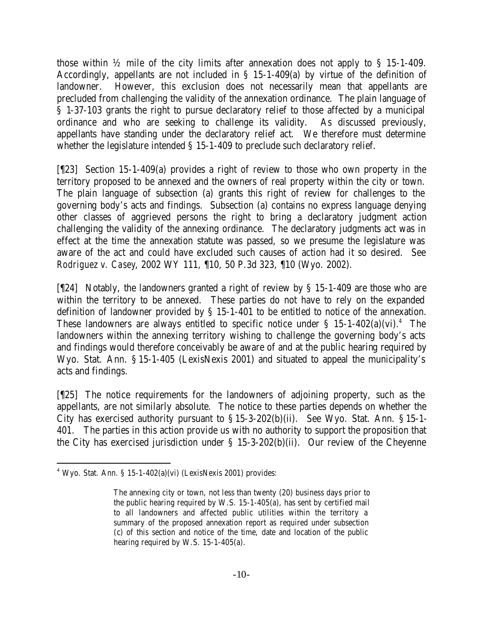those within ½ mile of the city limits after annexation does not apply to § 15-1-409. Accordingly, appellants are not included in § 15-1-409(a) by virtue of the definition of landowner. However, this exclusion does not necessarily mean that appellants are precluded from challenging the validity of the annexation ordinance. The plain language of § 1-37-103 grants the right to pursue declaratory relief to those affected by a municipal ordinance and who are seeking to challenge its validity. As discussed previously, appellants have standing under the declaratory relief act. We therefore must determine whether the legislature intended § 15-1-409 to preclude such declaratory relief.

[¶23] Section 15-1-409(a) provides a right of review to those who own property in the territory proposed to be annexed and the owners of real property within the city or town. The plain language of subsection (a) grants this right of review for challenges to the governing body's acts and findings. Subsection (a) contains no express language denying other classes of aggrieved persons the right to bring a declaratory judgment action challenging the validity of the annexing ordinance. The declaratory judgments act was in effect at the time the annexation statute was passed, so we presume the legislature was aware of the act and could have excluded such causes of action had it so desired. See *Rodriguez v. Casey*, 2002 WY 111, ¶10, 50 P.3d 323, ¶10 (Wyo. 2002).

[¶24] Notably, the landowners granted a right of review by § 15-1-409 are those who are within the territory to be annexed. These parties do not have to rely on the expanded definition of landowner provided by § 15-1-401 to be entitled to notice of the annexation. These landowners are always entitled to specific notice under  $\S$  15-1-402(a)(vi).<sup>4</sup> The landowners within the annexing territory wishing to challenge the governing body's acts and findings would therefore conceivably be aware of and at the public hearing required by Wyo. Stat. Ann. § 15-1-405 (LexisNexis 2001) and situated to appeal the municipality's acts and findings.

[¶25] The notice requirements for the landowners of adjoining property, such as the appellants, are not similarly absolute. The notice to these parties depends on whether the City has exercised authority pursuant to  $\S 15-3-202(b)(ii)$ . See Wyo. Stat. Ann.  $\S 15-1-$ 401. The parties in this action provide us with no authority to support the proposition that the City has exercised jurisdiction under § 15-3-202(b)(ii). Our review of the Cheyenne

 $4$  Wyo. Stat. Ann. § 15-1-402(a)(vi) (LexisNexis 2001) provides:

The annexing city or town, not less than twenty (20) business days prior to the public hearing required by W.S. 15-1-405(a), has sent by certified mail to all landowners and affected public utilities within the territory a summary of the proposed annexation report as required under subsection (c) of this section and notice of the time, date and location of the public hearing required by W.S. 15-1-405(a).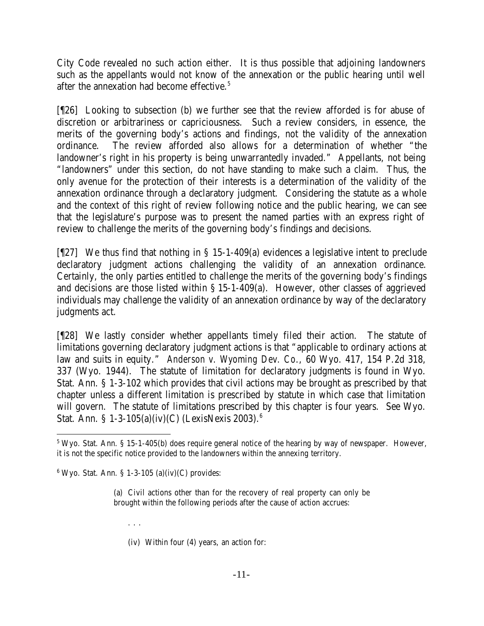City Code revealed no such action either. It is thus possible that adjoining landowners such as the appellants would not know of the annexation or the public hearing until well after the annexation had become effective.<sup>5</sup>

[¶26] Looking to subsection (b) we further see that the review afforded is for abuse of discretion or arbitrariness or capriciousness. Such a review considers, in essence, the merits of the governing body's actions and findings, not the validity of the annexation ordinance. The review afforded also allows for a determination of whether "the landowner's right in his property is being unwarrantedly invaded." Appellants, not being "landowners" under this section, do not have standing to make such a claim. Thus, the only avenue for the protection of their interests is a determination of the validity of the annexation ordinance through a declaratory judgment. Considering the statute as a whole and the context of this right of review following notice and the public hearing, we can see that the legislature's purpose was to present the named parties with an express right of review to challenge the merits of the governing body's findings and decisions.

[¶27] We thus find that nothing in § 15-1-409(a) evidences a legislative intent to preclude declaratory judgment actions challenging the validity of an annexation ordinance. Certainly, the only parties entitled to challenge the merits of the governing body's findings and decisions are those listed within § 15-1-409(a). However, other classes of aggrieved individuals may challenge the validity of an annexation ordinance by way of the declaratory judgments act.

[¶28] We lastly consider whether appellants timely filed their action. The statute of limitations governing declaratory judgment actions is that "applicable to ordinary actions at law and suits in equity." *Anderson v. Wyoming Dev. Co*., 60 Wyo. 417, 154 P.2d 318, 337 (Wyo. 1944). The statute of limitation for declaratory judgments is found in Wyo. Stat. Ann. § 1-3-102 which provides that civil actions may be brought as prescribed by that chapter unless a different limitation is prescribed by statute in which case that limitation will govern. The statute of limitations prescribed by this chapter is four years. See Wyo. Stat. Ann. § 1-3-105(a)(iv)(C) (LexisNexis 2003).<sup>6</sup>

- . . .
- (iv) Within four (4) years, an action for:

 $5$  Wyo. Stat. Ann. § 15-1-405(b) does require general notice of the hearing by way of newspaper. However, it is not the specific notice provided to the landowners within the annexing territory.

 $6$  Wyo. Stat. Ann. § 1-3-105 (a)(iv)(C) provides:

<sup>(</sup>a) Civil actions other than for the recovery of real property can only be brought within the following periods after the cause of action accrues: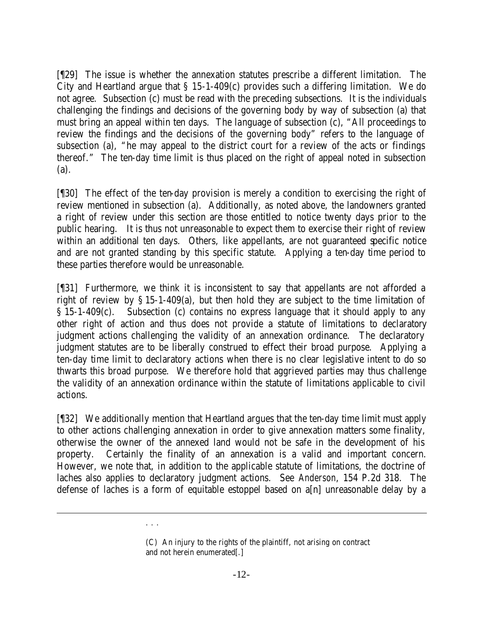[¶29] The issue is whether the annexation statutes prescribe a different limitation. The City and Heartland argue that § 15-1-409(c) provides such a differing limitation. We do not agree. Subsection (c) must be read with the preceding subsections. It is the individuals challenging the findings and decisions of the governing body by way of subsection (a) that must bring an appeal within ten days. The language of subsection (c), "All proceedings to review the findings and the decisions of the governing body" refers to the language of subsection (a), "he may appeal to the district court for a review of the acts or findings thereof." The ten-day time limit is thus placed on the right of appeal noted in subsection (a).

[¶30] The effect of the ten-day provision is merely a condition to exercising the right of review mentioned in subsection (a). Additionally, as noted above, the landowners granted a right of review under this section are those entitled to notice twenty days prior to the public hearing. It is thus not unreasonable to expect them to exercise their right of review within an additional ten days. Others, like appellants, are not guaranteed specific notice and are not granted standing by this specific statute. Applying a ten-day time period to these parties therefore would be unreasonable.

[¶31] Furthermore, we think it is inconsistent to say that appellants are not afforded a right of review by § 15-1-409(a), but then hold they are subject to the time limitation of § 15-1-409(c). Subsection (c) contains no express language that it should apply to any other right of action and thus does not provide a statute of limitations to declaratory judgment actions challenging the validity of an annexation ordinance. The declaratory judgment statutes are to be liberally construed to effect their broad purpose. Applying a ten-day time limit to declaratory actions when there is no clear legislative intent to do so thwarts this broad purpose. We therefore hold that aggrieved parties may thus challenge the validity of an annexation ordinance within the statute of limitations applicable to civil actions.

[¶32] We additionally mention that Heartland argues that the ten-day time limit must apply to other actions challenging annexation in order to give annexation matters some finality, otherwise the owner of the annexed land would not be safe in the development of his property. Certainly the finality of an annexation is a valid and important concern. However, we note that, in addition to the applicable statute of limitations, the doctrine of laches also applies to declaratory judgment actions. See *Anderson*, 154 P.2d 318. The defense of laches is a form of equitable estoppel based on a[n] unreasonable delay by a

l

. . .

<sup>(</sup>C) An injury to the rights of the plaintiff, not arising on contract and not herein enumerated[.]